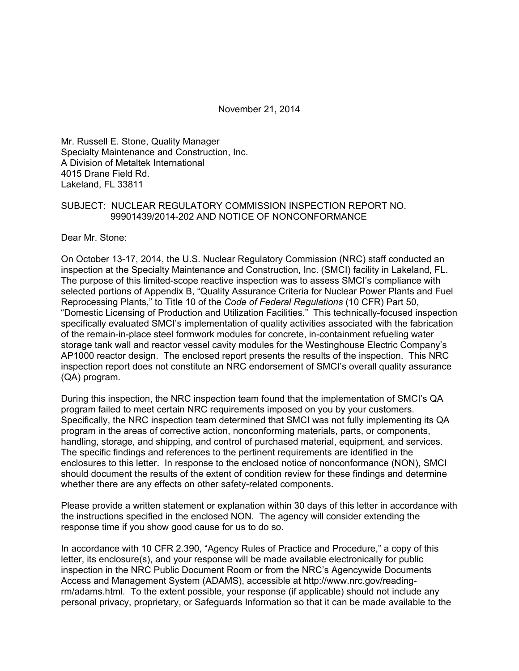November 21, 2014

Mr. Russell E. Stone, Quality Manager Specialty Maintenance and Construction, Inc. A Division of Metaltek International 4015 Drane Field Rd. Lakeland, FL 33811

### SUBJECT: NUCLEAR REGULATORY COMMISSION INSPECTION REPORT NO. 99901439/2014-202 AND NOTICE OF NONCONFORMANCE

Dear Mr. Stone:

On October 13-17, 2014, the U.S. Nuclear Regulatory Commission (NRC) staff conducted an inspection at the Specialty Maintenance and Construction, Inc. (SMCI) facility in Lakeland, FL. The purpose of this limited-scope reactive inspection was to assess SMCI's compliance with selected portions of Appendix B, "Quality Assurance Criteria for Nuclear Power Plants and Fuel Reprocessing Plants," to Title 10 of the *Code of Federal Regulations* (10 CFR) Part 50, "Domestic Licensing of Production and Utilization Facilities." This technically-focused inspection specifically evaluated SMCI's implementation of quality activities associated with the fabrication of the remain-in-place steel formwork modules for concrete, in-containment refueling water storage tank wall and reactor vessel cavity modules for the Westinghouse Electric Company's AP1000 reactor design. The enclosed report presents the results of the inspection. This NRC inspection report does not constitute an NRC endorsement of SMCI's overall quality assurance (QA) program.

During this inspection, the NRC inspection team found that the implementation of SMCI's QA program failed to meet certain NRC requirements imposed on you by your customers. Specifically, the NRC inspection team determined that SMCI was not fully implementing its QA program in the areas of corrective action, nonconforming materials, parts, or components, handling, storage, and shipping, and control of purchased material, equipment, and services. The specific findings and references to the pertinent requirements are identified in the enclosures to this letter. In response to the enclosed notice of nonconformance (NON), SMCI should document the results of the extent of condition review for these findings and determine whether there are any effects on other safety-related components.

Please provide a written statement or explanation within 30 days of this letter in accordance with the instructions specified in the enclosed NON. The agency will consider extending the response time if you show good cause for us to do so.

In accordance with 10 CFR 2.390, "Agency Rules of Practice and Procedure," a copy of this letter, its enclosure(s), and your response will be made available electronically for public inspection in the NRC Public Document Room or from the NRC's Agencywide Documents Access and Management System (ADAMS), accessible at http://www.nrc.gov/readingrm/adams.html. To the extent possible, your response (if applicable) should not include any personal privacy, proprietary, or Safeguards Information so that it can be made available to the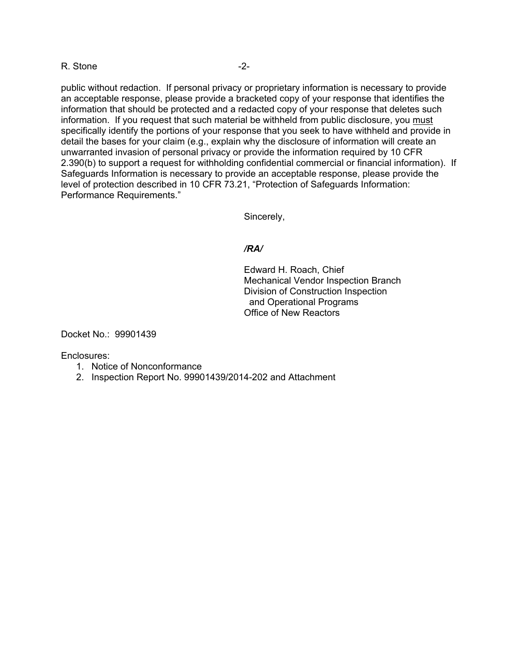#### R. Stone -2-

public without redaction. If personal privacy or proprietary information is necessary to provide an acceptable response, please provide a bracketed copy of your response that identifies the information that should be protected and a redacted copy of your response that deletes such information. If you request that such material be withheld from public disclosure, you must specifically identify the portions of your response that you seek to have withheld and provide in detail the bases for your claim (e.g., explain why the disclosure of information will create an unwarranted invasion of personal privacy or provide the information required by 10 CFR 2.390(b) to support a request for withholding confidential commercial or financial information). If Safeguards Information is necessary to provide an acceptable response, please provide the level of protection described in 10 CFR 73.21, "Protection of Safeguards Information: Performance Requirements."

Sincerely,

#### */RA/*

Edward H. Roach, Chief Mechanical Vendor Inspection Branch Division of Construction Inspection and Operational Programs Office of New Reactors

Docket No.: 99901439

Enclosures:

- 1. Notice of Nonconformance
- 2. Inspection Report No. 99901439/2014-202 and Attachment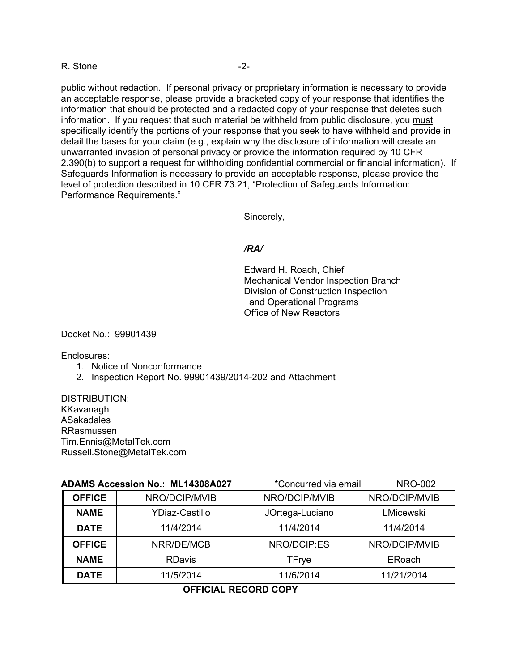#### R. Stone -2-

public without redaction. If personal privacy or proprietary information is necessary to provide an acceptable response, please provide a bracketed copy of your response that identifies the information that should be protected and a redacted copy of your response that deletes such information. If you request that such material be withheld from public disclosure, you must specifically identify the portions of your response that you seek to have withheld and provide in detail the bases for your claim (e.g., explain why the disclosure of information will create an unwarranted invasion of personal privacy or provide the information required by 10 CFR 2.390(b) to support a request for withholding confidential commercial or financial information). If Safeguards Information is necessary to provide an acceptable response, please provide the level of protection described in 10 CFR 73.21, "Protection of Safeguards Information: Performance Requirements."

Sincerely,

#### */RA/*

Edward H. Roach, Chief Mechanical Vendor Inspection Branch Division of Construction Inspection and Operational Programs Office of New Reactors

Docket No.: 99901439

Enclosures:

- 1. Notice of Nonconformance
- 2. Inspection Report No. 99901439/2014-202 and Attachment

DISTRIBUTION: KKavanagh ASakadales RRasmussen Tim.Ennis@MetalTek.com Russell.Stone@MetalTek.com

|               | <b>ADAMS Accession No.: ML14308A027</b><br>*Concurred via email |                 | <b>NRO-002</b> |  |
|---------------|-----------------------------------------------------------------|-----------------|----------------|--|
| <b>OFFICE</b> | NRO/DCIP/MVIB                                                   | NRO/DCIP/MVIB   | NRO/DCIP/MVIB  |  |
| <b>NAME</b>   | <b>YDiaz-Castillo</b>                                           | JOrtega-Luciano | LMicewski      |  |
| <b>DATE</b>   | 11/4/2014                                                       | 11/4/2014       | 11/4/2014      |  |
| <b>OFFICE</b> | NRR/DE/MCB                                                      | NRO/DCIP:ES     | NRO/DCIP/MVIB  |  |
| <b>NAME</b>   | <b>RDavis</b>                                                   | <b>TFrye</b>    | ERoach         |  |
| <b>DATE</b>   | 11/5/2014                                                       | 11/6/2014       | 11/21/2014     |  |

**OFFICIAL RECORD COPY**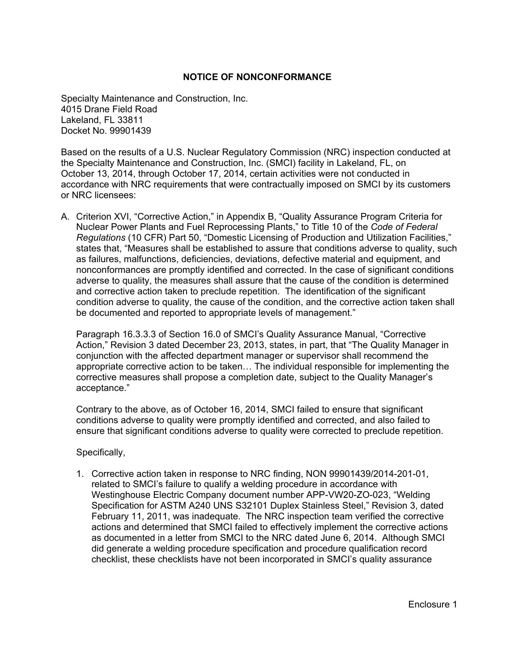### **NOTICE OF NONCONFORMANCE**

Specialty Maintenance and Construction, Inc. 4015 Drane Field Road Lakeland, FL 33811 Docket No. 99901439

Based on the results of a U.S. Nuclear Regulatory Commission (NRC) inspection conducted at the Specialty Maintenance and Construction, Inc. (SMCI) facility in Lakeland, FL, on October 13, 2014, through October 17, 2014, certain activities were not conducted in accordance with NRC requirements that were contractually imposed on SMCI by its customers or NRC licensees:

A. Criterion XVI, "Corrective Action," in Appendix B, "Quality Assurance Program Criteria for Nuclear Power Plants and Fuel Reprocessing Plants," to Title 10 of the *Code of Federal Regulations* (10 CFR) Part 50, "Domestic Licensing of Production and Utilization Facilities," states that, "Measures shall be established to assure that conditions adverse to quality, such as failures, malfunctions, deficiencies, deviations, defective material and equipment, and nonconformances are promptly identified and corrected. In the case of significant conditions adverse to quality, the measures shall assure that the cause of the condition is determined and corrective action taken to preclude repetition. The identification of the significant condition adverse to quality, the cause of the condition, and the corrective action taken shall be documented and reported to appropriate levels of management."

Paragraph 16.3.3.3 of Section 16.0 of SMCI's Quality Assurance Manual, "Corrective Action," Revision 3 dated December 23, 2013, states, in part, that "The Quality Manager in conjunction with the affected department manager or supervisor shall recommend the appropriate corrective action to be taken… The individual responsible for implementing the corrective measures shall propose a completion date, subject to the Quality Manager's acceptance."

Contrary to the above, as of October 16, 2014, SMCI failed to ensure that significant conditions adverse to quality were promptly identified and corrected, and also failed to ensure that significant conditions adverse to quality were corrected to preclude repetition.

Specifically,

1. Corrective action taken in response to NRC finding, NON 99901439/2014-201-01, related to SMCI's failure to qualify a welding procedure in accordance with Westinghouse Electric Company document number APP-VW20-ZO-023, "Welding Specification for ASTM A240 UNS S32101 Duplex Stainless Steel," Revision 3, dated February 11, 2011, was inadequate. The NRC inspection team verified the corrective actions and determined that SMCI failed to effectively implement the corrective actions as documented in a letter from SMCI to the NRC dated June 6, 2014. Although SMCI did generate a welding procedure specification and procedure qualification record checklist, these checklists have not been incorporated in SMCI's quality assurance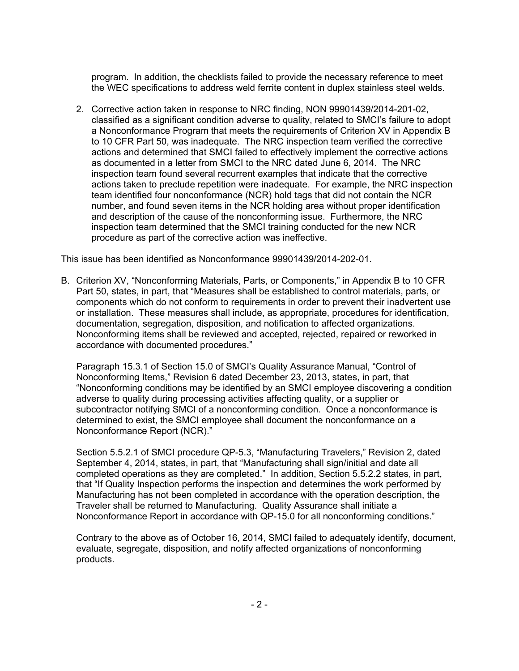program. In addition, the checklists failed to provide the necessary reference to meet the WEC specifications to address weld ferrite content in duplex stainless steel welds.

2. Corrective action taken in response to NRC finding, NON 99901439/2014-201-02, classified as a significant condition adverse to quality, related to SMCI's failure to adopt a Nonconformance Program that meets the requirements of Criterion XV in Appendix B to 10 CFR Part 50, was inadequate. The NRC inspection team verified the corrective actions and determined that SMCI failed to effectively implement the corrective actions as documented in a letter from SMCI to the NRC dated June 6, 2014. The NRC inspection team found several recurrent examples that indicate that the corrective actions taken to preclude repetition were inadequate. For example, the NRC inspection team identified four nonconformance (NCR) hold tags that did not contain the NCR number, and found seven items in the NCR holding area without proper identification and description of the cause of the nonconforming issue. Furthermore, the NRC inspection team determined that the SMCI training conducted for the new NCR procedure as part of the corrective action was ineffective.

This issue has been identified as Nonconformance 99901439/2014-202-01.

B. Criterion XV, "Nonconforming Materials, Parts, or Components," in Appendix B to 10 CFR Part 50, states, in part, that "Measures shall be established to control materials, parts, or components which do not conform to requirements in order to prevent their inadvertent use or installation. These measures shall include, as appropriate, procedures for identification, documentation, segregation, disposition, and notification to affected organizations. Nonconforming items shall be reviewed and accepted, rejected, repaired or reworked in accordance with documented procedures."

Paragraph 15.3.1 of Section 15.0 of SMCI's Quality Assurance Manual, "Control of Nonconforming Items," Revision 6 dated December 23, 2013, states, in part, that "Nonconforming conditions may be identified by an SMCI employee discovering a condition adverse to quality during processing activities affecting quality, or a supplier or subcontractor notifying SMCI of a nonconforming condition. Once a nonconformance is determined to exist, the SMCI employee shall document the nonconformance on a Nonconformance Report (NCR)."

Section 5.5.2.1 of SMCI procedure QP-5.3, "Manufacturing Travelers," Revision 2, dated September 4, 2014, states, in part, that "Manufacturing shall sign/initial and date all completed operations as they are completed." In addition, Section 5.5.2.2 states, in part, that "If Quality Inspection performs the inspection and determines the work performed by Manufacturing has not been completed in accordance with the operation description, the Traveler shall be returned to Manufacturing. Quality Assurance shall initiate a Nonconformance Report in accordance with QP-15.0 for all nonconforming conditions."

Contrary to the above as of October 16, 2014, SMCI failed to adequately identify, document, evaluate, segregate, disposition, and notify affected organizations of nonconforming products.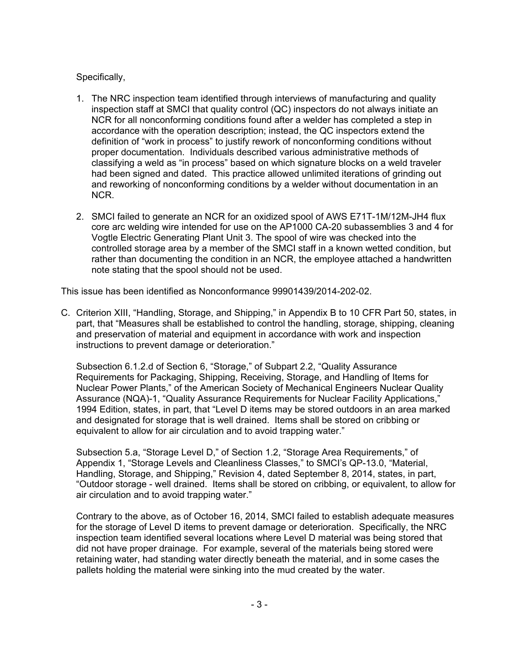## Specifically,

- 1. The NRC inspection team identified through interviews of manufacturing and quality inspection staff at SMCI that quality control (QC) inspectors do not always initiate an NCR for all nonconforming conditions found after a welder has completed a step in accordance with the operation description; instead, the QC inspectors extend the definition of "work in process" to justify rework of nonconforming conditions without proper documentation. Individuals described various administrative methods of classifying a weld as "in process" based on which signature blocks on a weld traveler had been signed and dated. This practice allowed unlimited iterations of grinding out and reworking of nonconforming conditions by a welder without documentation in an NCR.
- 2. SMCI failed to generate an NCR for an oxidized spool of AWS E71T-1M/12M-JH4 flux core arc welding wire intended for use on the AP1000 CA-20 subassemblies 3 and 4 for Vogtle Electric Generating Plant Unit 3. The spool of wire was checked into the controlled storage area by a member of the SMCI staff in a known wetted condition, but rather than documenting the condition in an NCR, the employee attached a handwritten note stating that the spool should not be used.

This issue has been identified as Nonconformance 99901439/2014-202-02.

C. Criterion XIII, "Handling, Storage, and Shipping," in Appendix B to 10 CFR Part 50, states, in part, that "Measures shall be established to control the handling, storage, shipping, cleaning and preservation of material and equipment in accordance with work and inspection instructions to prevent damage or deterioration."

Subsection 6.1.2.d of Section 6, "Storage," of Subpart 2.2, "Quality Assurance Requirements for Packaging, Shipping, Receiving, Storage, and Handling of Items for Nuclear Power Plants," of the American Society of Mechanical Engineers Nuclear Quality Assurance (NQA)-1, "Quality Assurance Requirements for Nuclear Facility Applications," 1994 Edition, states, in part, that "Level D items may be stored outdoors in an area marked and designated for storage that is well drained. Items shall be stored on cribbing or equivalent to allow for air circulation and to avoid trapping water."

Subsection 5.a, "Storage Level D," of Section 1.2, "Storage Area Requirements," of Appendix 1, "Storage Levels and Cleanliness Classes," to SMCI's QP-13.0, "Material, Handling, Storage, and Shipping," Revision 4, dated September 8, 2014, states, in part, "Outdoor storage - well drained. Items shall be stored on cribbing, or equivalent, to allow for air circulation and to avoid trapping water."

Contrary to the above, as of October 16, 2014, SMCI failed to establish adequate measures for the storage of Level D items to prevent damage or deterioration. Specifically, the NRC inspection team identified several locations where Level D material was being stored that did not have proper drainage. For example, several of the materials being stored were retaining water, had standing water directly beneath the material, and in some cases the pallets holding the material were sinking into the mud created by the water.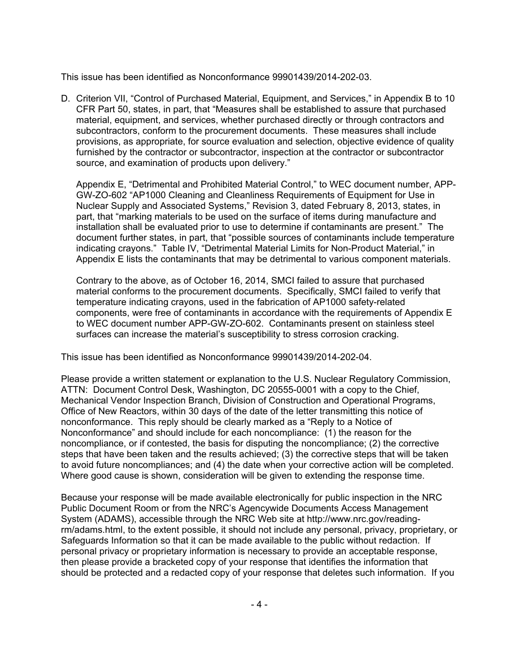This issue has been identified as Nonconformance 99901439/2014-202-03.

D. Criterion VII, "Control of Purchased Material, Equipment, and Services," in Appendix B to 10 CFR Part 50, states, in part, that "Measures shall be established to assure that purchased material, equipment, and services, whether purchased directly or through contractors and subcontractors, conform to the procurement documents. These measures shall include provisions, as appropriate, for source evaluation and selection, objective evidence of quality furnished by the contractor or subcontractor, inspection at the contractor or subcontractor source, and examination of products upon delivery."

Appendix E, "Detrimental and Prohibited Material Control," to WEC document number, APP-GW-ZO-602 "AP1000 Cleaning and Cleanliness Requirements of Equipment for Use in Nuclear Supply and Associated Systems," Revision 3, dated February 8, 2013, states, in part, that "marking materials to be used on the surface of items during manufacture and installation shall be evaluated prior to use to determine if contaminants are present." The document further states, in part, that "possible sources of contaminants include temperature indicating crayons." Table IV, "Detrimental Material Limits for Non-Product Material," in Appendix E lists the contaminants that may be detrimental to various component materials.

Contrary to the above, as of October 16, 2014, SMCI failed to assure that purchased material conforms to the procurement documents. Specifically, SMCI failed to verify that temperature indicating crayons, used in the fabrication of AP1000 safety-related components, were free of contaminants in accordance with the requirements of Appendix E to WEC document number APP-GW-ZO-602. Contaminants present on stainless steel surfaces can increase the material's susceptibility to stress corrosion cracking.

This issue has been identified as Nonconformance 99901439/2014-202-04.

Please provide a written statement or explanation to the U.S. Nuclear Regulatory Commission, ATTN: Document Control Desk, Washington, DC 20555-0001 with a copy to the Chief, Mechanical Vendor Inspection Branch, Division of Construction and Operational Programs, Office of New Reactors, within 30 days of the date of the letter transmitting this notice of nonconformance. This reply should be clearly marked as a "Reply to a Notice of Nonconformance" and should include for each noncompliance: (1) the reason for the noncompliance, or if contested, the basis for disputing the noncompliance; (2) the corrective steps that have been taken and the results achieved; (3) the corrective steps that will be taken to avoid future noncompliances; and (4) the date when your corrective action will be completed. Where good cause is shown, consideration will be given to extending the response time.

Because your response will be made available electronically for public inspection in the NRC Public Document Room or from the NRC's Agencywide Documents Access Management System (ADAMS), accessible through the NRC Web site at http://www.nrc.gov/readingrm/adams.html, to the extent possible, it should not include any personal, privacy, proprietary, or Safeguards Information so that it can be made available to the public without redaction. If personal privacy or proprietary information is necessary to provide an acceptable response, then please provide a bracketed copy of your response that identifies the information that should be protected and a redacted copy of your response that deletes such information. If you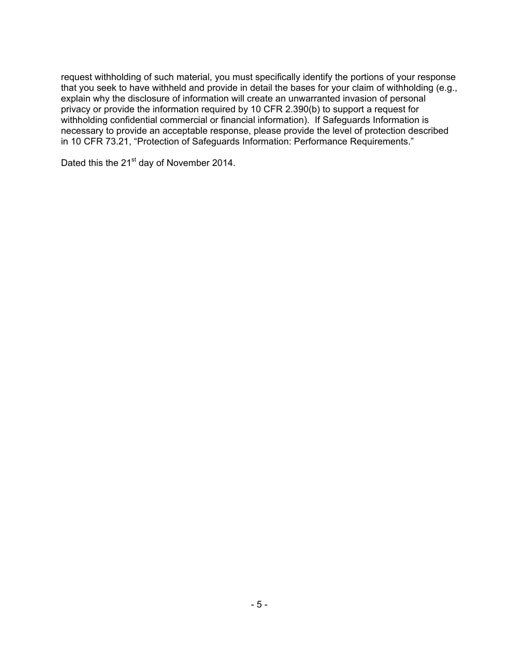request withholding of such material, you must specifically identify the portions of your response that you seek to have withheld and provide in detail the bases for your claim of withholding (e.g., explain why the disclosure of information will create an unwarranted invasion of personal privacy or provide the information required by 10 CFR 2.390(b) to support a request for withholding confidential commercial or financial information). If Safeguards Information is necessary to provide an acceptable response, please provide the level of protection described in 10 CFR 73.21, "Protection of Safeguards Information: Performance Requirements."

Dated this the 21<sup>st</sup> day of November 2014.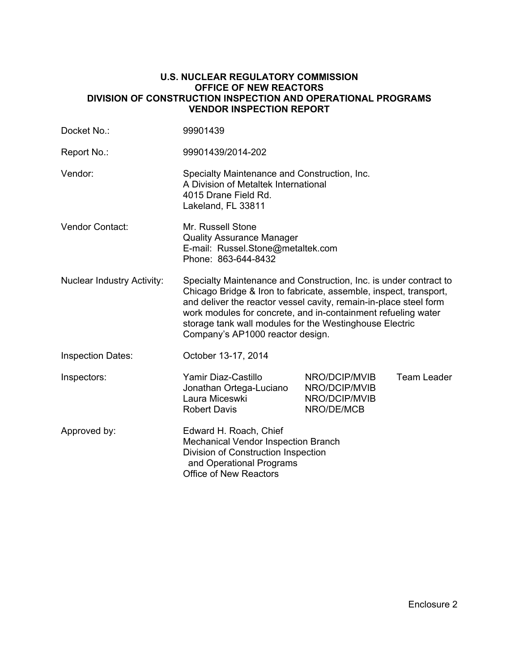#### **U.S. NUCLEAR REGULATORY COMMISSION OFFICE OF NEW REACTORS DIVISION OF CONSTRUCTION INSPECTION AND OPERATIONAL PROGRAMS VENDOR INSPECTION REPORT**

| Docket No.:                       | 99901439                                                                                                                                                                                                                                                                                                                                                                    |                                                               |                    |  |
|-----------------------------------|-----------------------------------------------------------------------------------------------------------------------------------------------------------------------------------------------------------------------------------------------------------------------------------------------------------------------------------------------------------------------------|---------------------------------------------------------------|--------------------|--|
| Report No.:                       | 99901439/2014-202                                                                                                                                                                                                                                                                                                                                                           |                                                               |                    |  |
| Vendor:                           | Specialty Maintenance and Construction, Inc.<br>A Division of Metaltek International<br>4015 Drane Field Rd.<br>Lakeland, FL 33811                                                                                                                                                                                                                                          |                                                               |                    |  |
| Vendor Contact:                   | Mr. Russell Stone<br><b>Quality Assurance Manager</b><br>E-mail: Russel.Stone@metaltek.com<br>Phone: 863-644-8432                                                                                                                                                                                                                                                           |                                                               |                    |  |
| <b>Nuclear Industry Activity:</b> | Specialty Maintenance and Construction, Inc. is under contract to<br>Chicago Bridge & Iron to fabricate, assemble, inspect, transport,<br>and deliver the reactor vessel cavity, remain-in-place steel form<br>work modules for concrete, and in-containment refueling water<br>storage tank wall modules for the Westinghouse Electric<br>Company's AP1000 reactor design. |                                                               |                    |  |
| <b>Inspection Dates:</b>          | October 13-17, 2014                                                                                                                                                                                                                                                                                                                                                         |                                                               |                    |  |
| Inspectors:                       | Yamir Diaz-Castillo<br>Jonathan Ortega-Luciano<br>Laura Miceswki<br><b>Robert Davis</b>                                                                                                                                                                                                                                                                                     | NRO/DCIP/MVIB<br>NRO/DCIP/MVIB<br>NRO/DCIP/MVIB<br>NRO/DE/MCB | <b>Team Leader</b> |  |
| Approved by:                      | Edward H. Roach, Chief<br>Mechanical Vendor Inspection Branch<br>Division of Construction Inspection<br>and Operational Programs<br><b>Office of New Reactors</b>                                                                                                                                                                                                           |                                                               |                    |  |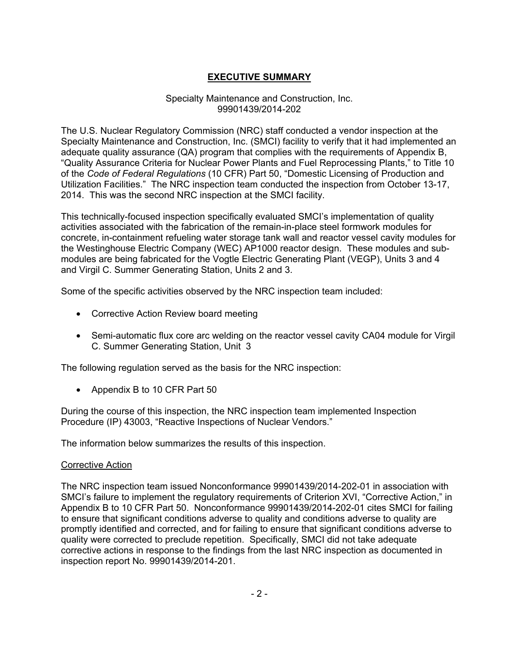## **EXECUTIVE SUMMARY**

### Specialty Maintenance and Construction, Inc. 99901439/2014-202

The U.S. Nuclear Regulatory Commission (NRC) staff conducted a vendor inspection at the Specialty Maintenance and Construction, Inc. (SMCI) facility to verify that it had implemented an adequate quality assurance (QA) program that complies with the requirements of Appendix B, "Quality Assurance Criteria for Nuclear Power Plants and Fuel Reprocessing Plants," to Title 10 of the *Code of Federal Regulations* (10 CFR) Part 50, "Domestic Licensing of Production and Utilization Facilities." The NRC inspection team conducted the inspection from October 13-17, 2014. This was the second NRC inspection at the SMCI facility.

This technically-focused inspection specifically evaluated SMCI's implementation of quality activities associated with the fabrication of the remain-in-place steel formwork modules for concrete, in-containment refueling water storage tank wall and reactor vessel cavity modules for the Westinghouse Electric Company (WEC) AP1000 reactor design. These modules and submodules are being fabricated for the Vogtle Electric Generating Plant (VEGP), Units 3 and 4 and Virgil C. Summer Generating Station, Units 2 and 3.

Some of the specific activities observed by the NRC inspection team included:

- Corrective Action Review board meeting
- Semi-automatic flux core arc welding on the reactor vessel cavity CA04 module for Virgil C. Summer Generating Station, Unit 3

The following regulation served as the basis for the NRC inspection:

• Appendix B to 10 CFR Part 50

During the course of this inspection, the NRC inspection team implemented Inspection Procedure (IP) 43003, "Reactive Inspections of Nuclear Vendors."

The information below summarizes the results of this inspection.

#### Corrective Action

The NRC inspection team issued Nonconformance 99901439/2014-202-01 in association with SMCI's failure to implement the regulatory requirements of Criterion XVI, "Corrective Action," in Appendix B to 10 CFR Part 50. Nonconformance 99901439/2014-202-01 cites SMCI for failing to ensure that significant conditions adverse to quality and conditions adverse to quality are promptly identified and corrected, and for failing to ensure that significant conditions adverse to quality were corrected to preclude repetition. Specifically, SMCI did not take adequate corrective actions in response to the findings from the last NRC inspection as documented in inspection report No. 99901439/2014-201.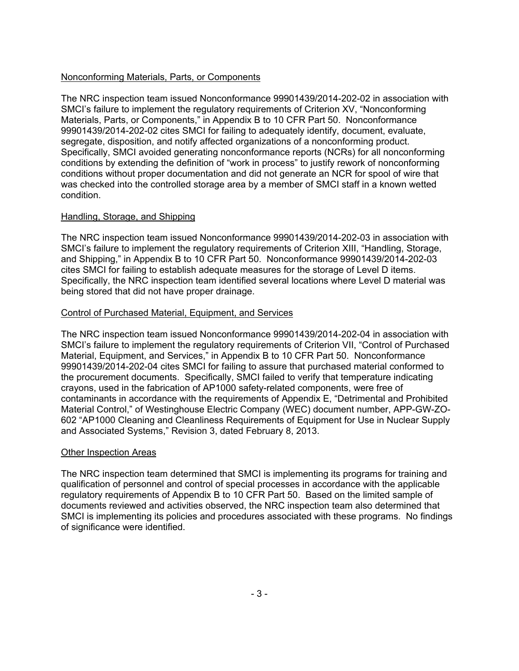## Nonconforming Materials, Parts, or Components

The NRC inspection team issued Nonconformance 99901439/2014-202-02 in association with SMCI's failure to implement the regulatory requirements of Criterion XV, "Nonconforming Materials, Parts, or Components," in Appendix B to 10 CFR Part 50. Nonconformance 99901439/2014-202-02 cites SMCI for failing to adequately identify, document, evaluate, segregate, disposition, and notify affected organizations of a nonconforming product. Specifically, SMCI avoided generating nonconformance reports (NCRs) for all nonconforming conditions by extending the definition of "work in process" to justify rework of nonconforming conditions without proper documentation and did not generate an NCR for spool of wire that was checked into the controlled storage area by a member of SMCI staff in a known wetted condition.

## Handling, Storage, and Shipping

The NRC inspection team issued Nonconformance 99901439/2014-202-03 in association with SMCI's failure to implement the regulatory requirements of Criterion XIII, "Handling, Storage, and Shipping," in Appendix B to 10 CFR Part 50. Nonconformance 99901439/2014-202-03 cites SMCI for failing to establish adequate measures for the storage of Level D items. Specifically, the NRC inspection team identified several locations where Level D material was being stored that did not have proper drainage.

### Control of Purchased Material, Equipment, and Services

The NRC inspection team issued Nonconformance 99901439/2014-202-04 in association with SMCI's failure to implement the regulatory requirements of Criterion VII, "Control of Purchased Material, Equipment, and Services," in Appendix B to 10 CFR Part 50. Nonconformance 99901439/2014-202-04 cites SMCI for failing to assure that purchased material conformed to the procurement documents. Specifically, SMCI failed to verify that temperature indicating crayons, used in the fabrication of AP1000 safety-related components, were free of contaminants in accordance with the requirements of Appendix E, "Detrimental and Prohibited Material Control," of Westinghouse Electric Company (WEC) document number, APP-GW-ZO-602 "AP1000 Cleaning and Cleanliness Requirements of Equipment for Use in Nuclear Supply and Associated Systems," Revision 3, dated February 8, 2013.

#### Other Inspection Areas

The NRC inspection team determined that SMCI is implementing its programs for training and qualification of personnel and control of special processes in accordance with the applicable regulatory requirements of Appendix B to 10 CFR Part 50. Based on the limited sample of documents reviewed and activities observed, the NRC inspection team also determined that SMCI is implementing its policies and procedures associated with these programs. No findings of significance were identified.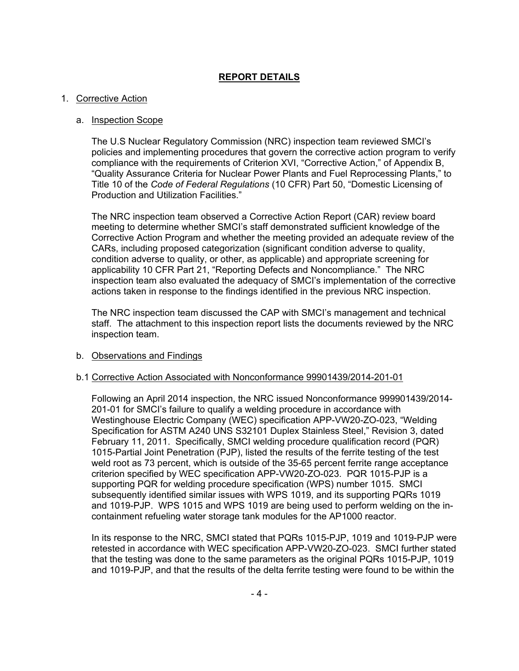## **REPORT DETAILS**

## 1. Corrective Action

### a. Inspection Scope

The U.S Nuclear Regulatory Commission (NRC) inspection team reviewed SMCI's policies and implementing procedures that govern the corrective action program to verify compliance with the requirements of Criterion XVI, "Corrective Action," of Appendix B, "Quality Assurance Criteria for Nuclear Power Plants and Fuel Reprocessing Plants," to Title 10 of the *Code of Federal Regulations* (10 CFR) Part 50, "Domestic Licensing of Production and Utilization Facilities."

The NRC inspection team observed a Corrective Action Report (CAR) review board meeting to determine whether SMCI's staff demonstrated sufficient knowledge of the Corrective Action Program and whether the meeting provided an adequate review of the CARs, including proposed categorization (significant condition adverse to quality, condition adverse to quality, or other, as applicable) and appropriate screening for applicability 10 CFR Part 21, "Reporting Defects and Noncompliance." The NRC inspection team also evaluated the adequacy of SMCI's implementation of the corrective actions taken in response to the findings identified in the previous NRC inspection.

The NRC inspection team discussed the CAP with SMCI's management and technical staff. The attachment to this inspection report lists the documents reviewed by the NRC inspection team.

## b. Observations and Findings

## b.1 Corrective Action Associated with Nonconformance 99901439/2014-201-01

Following an April 2014 inspection, the NRC issued Nonconformance 999901439/2014- 201-01 for SMCI's failure to qualify a welding procedure in accordance with Westinghouse Electric Company (WEC) specification APP-VW20-ZO-023, "Welding Specification for ASTM A240 UNS S32101 Duplex Stainless Steel," Revision 3, dated February 11, 2011. Specifically, SMCI welding procedure qualification record (PQR) 1015-Partial Joint Penetration (PJP), listed the results of the ferrite testing of the test weld root as 73 percent, which is outside of the 35-65 percent ferrite range acceptance criterion specified by WEC specification APP-VW20-ZO-023. PQR 1015-PJP is a supporting PQR for welding procedure specification (WPS) number 1015. SMCI subsequently identified similar issues with WPS 1019, and its supporting PQRs 1019 and 1019-PJP. WPS 1015 and WPS 1019 are being used to perform welding on the incontainment refueling water storage tank modules for the AP1000 reactor.

In its response to the NRC, SMCI stated that PQRs 1015-PJP, 1019 and 1019-PJP were retested in accordance with WEC specification APP-VW20-ZO-023. SMCI further stated that the testing was done to the same parameters as the original PQRs 1015-PJP, 1019 and 1019-PJP, and that the results of the delta ferrite testing were found to be within the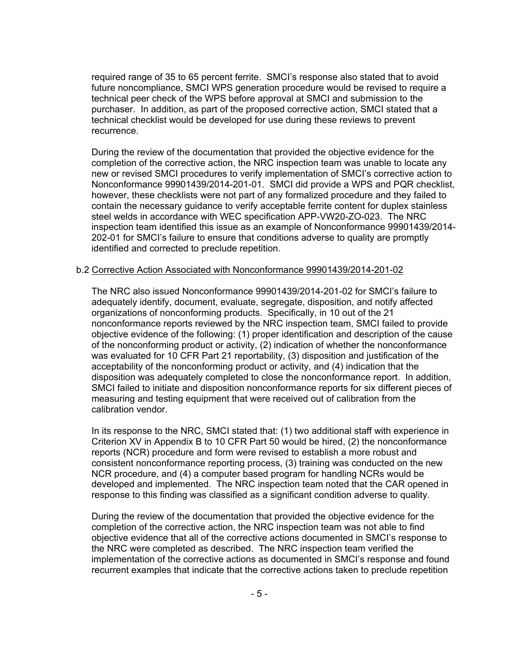required range of 35 to 65 percent ferrite. SMCI's response also stated that to avoid future noncompliance, SMCI WPS generation procedure would be revised to require a technical peer check of the WPS before approval at SMCI and submission to the purchaser. In addition, as part of the proposed corrective action, SMCI stated that a technical checklist would be developed for use during these reviews to prevent recurrence.

During the review of the documentation that provided the objective evidence for the completion of the corrective action, the NRC inspection team was unable to locate any new or revised SMCI procedures to verify implementation of SMCI's corrective action to Nonconformance 99901439/2014-201-01. SMCI did provide a WPS and PQR checklist, however, these checklists were not part of any formalized procedure and they failed to contain the necessary guidance to verify acceptable ferrite content for duplex stainless steel welds in accordance with WEC specification APP-VW20-ZO-023. The NRC inspection team identified this issue as an example of Nonconformance 99901439/2014- 202-01 for SMCI's failure to ensure that conditions adverse to quality are promptly identified and corrected to preclude repetition.

#### b.2 Corrective Action Associated with Nonconformance 99901439/2014-201-02

The NRC also issued Nonconformance 99901439/2014-201-02 for SMCI's failure to adequately identify, document, evaluate, segregate, disposition, and notify affected organizations of nonconforming products. Specifically, in 10 out of the 21 nonconformance reports reviewed by the NRC inspection team, SMCI failed to provide objective evidence of the following: (1) proper identification and description of the cause of the nonconforming product or activity, (2) indication of whether the nonconformance was evaluated for 10 CFR Part 21 reportability, (3) disposition and justification of the acceptability of the nonconforming product or activity, and (4) indication that the disposition was adequately completed to close the nonconformance report. In addition, SMCI failed to initiate and disposition nonconformance reports for six different pieces of measuring and testing equipment that were received out of calibration from the calibration vendor.

In its response to the NRC, SMCI stated that: (1) two additional staff with experience in Criterion XV in Appendix B to 10 CFR Part 50 would be hired, (2) the nonconformance reports (NCR) procedure and form were revised to establish a more robust and consistent nonconformance reporting process, (3) training was conducted on the new NCR procedure, and (4) a computer based program for handling NCRs would be developed and implemented. The NRC inspection team noted that the CAR opened in response to this finding was classified as a significant condition adverse to quality.

During the review of the documentation that provided the objective evidence for the completion of the corrective action, the NRC inspection team was not able to find objective evidence that all of the corrective actions documented in SMCI's response to the NRC were completed as described. The NRC inspection team verified the implementation of the corrective actions as documented in SMCI's response and found recurrent examples that indicate that the corrective actions taken to preclude repetition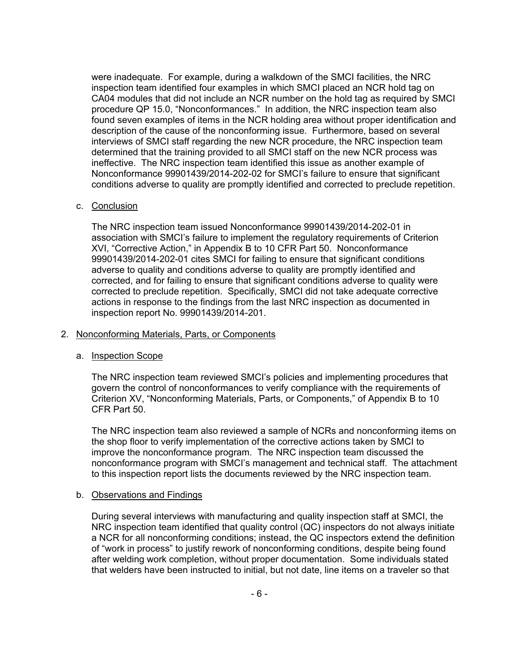were inadequate. For example, during a walkdown of the SMCI facilities, the NRC inspection team identified four examples in which SMCI placed an NCR hold tag on CA04 modules that did not include an NCR number on the hold tag as required by SMCI procedure QP 15.0, "Nonconformances." In addition, the NRC inspection team also found seven examples of items in the NCR holding area without proper identification and description of the cause of the nonconforming issue. Furthermore, based on several interviews of SMCI staff regarding the new NCR procedure, the NRC inspection team determined that the training provided to all SMCI staff on the new NCR process was ineffective. The NRC inspection team identified this issue as another example of Nonconformance 99901439/2014-202-02 for SMCI's failure to ensure that significant conditions adverse to quality are promptly identified and corrected to preclude repetition.

### c. Conclusion

The NRC inspection team issued Nonconformance 99901439/2014-202-01 in association with SMCI's failure to implement the regulatory requirements of Criterion XVI, "Corrective Action," in Appendix B to 10 CFR Part 50. Nonconformance 99901439/2014-202-01 cites SMCI for failing to ensure that significant conditions adverse to quality and conditions adverse to quality are promptly identified and corrected, and for failing to ensure that significant conditions adverse to quality were corrected to preclude repetition. Specifically, SMCI did not take adequate corrective actions in response to the findings from the last NRC inspection as documented in inspection report No. 99901439/2014-201.

### 2. Nonconforming Materials, Parts, or Components

#### a. Inspection Scope

The NRC inspection team reviewed SMCI's policies and implementing procedures that govern the control of nonconformances to verify compliance with the requirements of Criterion XV, "Nonconforming Materials, Parts, or Components," of Appendix B to 10 CFR Part 50.

The NRC inspection team also reviewed a sample of NCRs and nonconforming items on the shop floor to verify implementation of the corrective actions taken by SMCI to improve the nonconformance program. The NRC inspection team discussed the nonconformance program with SMCI's management and technical staff. The attachment to this inspection report lists the documents reviewed by the NRC inspection team.

#### b. Observations and Findings

During several interviews with manufacturing and quality inspection staff at SMCI, the NRC inspection team identified that quality control (QC) inspectors do not always initiate a NCR for all nonconforming conditions; instead, the QC inspectors extend the definition of "work in process" to justify rework of nonconforming conditions, despite being found after welding work completion, without proper documentation. Some individuals stated that welders have been instructed to initial, but not date, line items on a traveler so that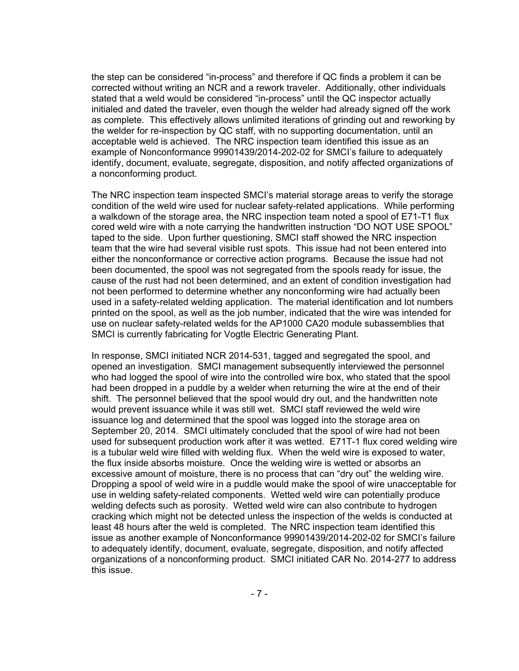the step can be considered "in-process" and therefore if QC finds a problem it can be corrected without writing an NCR and a rework traveler. Additionally, other individuals stated that a weld would be considered "in-process" until the QC inspector actually initialed and dated the traveler, even though the welder had already signed off the work as complete. This effectively allows unlimited iterations of grinding out and reworking by the welder for re-inspection by QC staff, with no supporting documentation, until an acceptable weld is achieved. The NRC inspection team identified this issue as an example of Nonconformance 99901439/2014-202-02 for SMCI's failure to adequately identify, document, evaluate, segregate, disposition, and notify affected organizations of a nonconforming product.

The NRC inspection team inspected SMCI's material storage areas to verify the storage condition of the weld wire used for nuclear safety-related applications. While performing a walkdown of the storage area, the NRC inspection team noted a spool of E71-T1 flux cored weld wire with a note carrying the handwritten instruction "DO NOT USE SPOOL" taped to the side. Upon further questioning, SMCI staff showed the NRC inspection team that the wire had several visible rust spots. This issue had not been entered into either the nonconformance or corrective action programs. Because the issue had not been documented, the spool was not segregated from the spools ready for issue, the cause of the rust had not been determined, and an extent of condition investigation had not been performed to determine whether any nonconforming wire had actually been used in a safety-related welding application. The material identification and lot numbers printed on the spool, as well as the job number, indicated that the wire was intended for use on nuclear safety-related welds for the AP1000 CA20 module subassemblies that SMCI is currently fabricating for Vogtle Electric Generating Plant.

In response, SMCI initiated NCR 2014-531, tagged and segregated the spool, and opened an investigation. SMCI management subsequently interviewed the personnel who had logged the spool of wire into the controlled wire box, who stated that the spool had been dropped in a puddle by a welder when returning the wire at the end of their shift. The personnel believed that the spool would dry out, and the handwritten note would prevent issuance while it was still wet. SMCI staff reviewed the weld wire issuance log and determined that the spool was logged into the storage area on September 20, 2014. SMCI ultimately concluded that the spool of wire had not been used for subsequent production work after it was wetted. E71T-1 flux cored welding wire is a tubular weld wire filled with welding flux. When the weld wire is exposed to water, the flux inside absorbs moisture. Once the welding wire is wetted or absorbs an excessive amount of moisture, there is no process that can "dry out" the welding wire. Dropping a spool of weld wire in a puddle would make the spool of wire unacceptable for use in welding safety-related components. Wetted weld wire can potentially produce welding defects such as porosity. Wetted weld wire can also contribute to hydrogen cracking which might not be detected unless the inspection of the welds is conducted at least 48 hours after the weld is completed. The NRC inspection team identified this issue as another example of Nonconformance 99901439/2014-202-02 for SMCI's failure to adequately identify, document, evaluate, segregate, disposition, and notify affected organizations of a nonconforming product. SMCI initiated CAR No. 2014-277 to address this issue.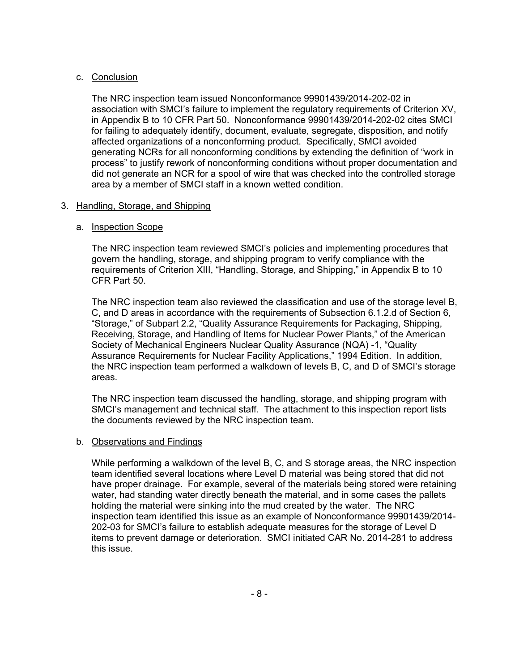## c. Conclusion

The NRC inspection team issued Nonconformance 99901439/2014-202-02 in association with SMCI's failure to implement the regulatory requirements of Criterion XV, in Appendix B to 10 CFR Part 50. Nonconformance 99901439/2014-202-02 cites SMCI for failing to adequately identify, document, evaluate, segregate, disposition, and notify affected organizations of a nonconforming product. Specifically, SMCI avoided generating NCRs for all nonconforming conditions by extending the definition of "work in process" to justify rework of nonconforming conditions without proper documentation and did not generate an NCR for a spool of wire that was checked into the controlled storage area by a member of SMCI staff in a known wetted condition.

### 3. Handling, Storage, and Shipping

### a. Inspection Scope

The NRC inspection team reviewed SMCI's policies and implementing procedures that govern the handling, storage, and shipping program to verify compliance with the requirements of Criterion XIII, "Handling, Storage, and Shipping," in Appendix B to 10 CFR Part 50.

The NRC inspection team also reviewed the classification and use of the storage level B, C, and D areas in accordance with the requirements of Subsection 6.1.2.d of Section 6, "Storage," of Subpart 2.2, "Quality Assurance Requirements for Packaging, Shipping, Receiving, Storage, and Handling of Items for Nuclear Power Plants," of the American Society of Mechanical Engineers Nuclear Quality Assurance (NQA) -1, "Quality Assurance Requirements for Nuclear Facility Applications," 1994 Edition. In addition, the NRC inspection team performed a walkdown of levels B, C, and D of SMCI's storage areas.

The NRC inspection team discussed the handling, storage, and shipping program with SMCI's management and technical staff. The attachment to this inspection report lists the documents reviewed by the NRC inspection team.

#### b. Observations and Findings

While performing a walkdown of the level B, C, and S storage areas, the NRC inspection team identified several locations where Level D material was being stored that did not have proper drainage. For example, several of the materials being stored were retaining water, had standing water directly beneath the material, and in some cases the pallets holding the material were sinking into the mud created by the water. The NRC inspection team identified this issue as an example of Nonconformance 99901439/2014- 202-03 for SMCI's failure to establish adequate measures for the storage of Level D items to prevent damage or deterioration. SMCI initiated CAR No. 2014-281 to address this issue.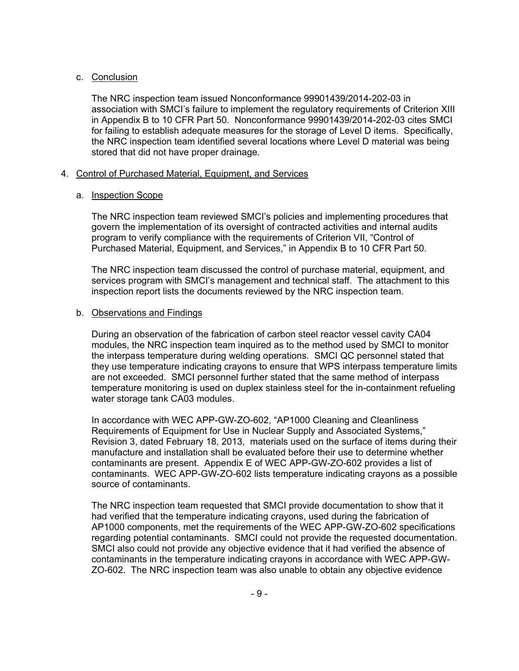### c. Conclusion

The NRC inspection team issued Nonconformance 99901439/2014-202-03 in association with SMCI's failure to implement the regulatory requirements of Criterion XIII in Appendix B to 10 CFR Part 50. Nonconformance 99901439/2014-202-03 cites SMCI for failing to establish adequate measures for the storage of Level D items. Specifically, the NRC inspection team identified several locations where Level D material was being stored that did not have proper drainage.

### 4. Control of Purchased Material, Equipment, and Services

### a. Inspection Scope

The NRC inspection team reviewed SMCI's policies and implementing procedures that govern the implementation of its oversight of contracted activities and internal audits program to verify compliance with the requirements of Criterion VII, "Control of Purchased Material, Equipment, and Services," in Appendix B to 10 CFR Part 50.

The NRC inspection team discussed the control of purchase material, equipment, and services program with SMCI's management and technical staff. The attachment to this inspection report lists the documents reviewed by the NRC inspection team.

### b. Observations and Findings

During an observation of the fabrication of carbon steel reactor vessel cavity CA04 modules, the NRC inspection team inquired as to the method used by SMCI to monitor the interpass temperature during welding operations. SMCI QC personnel stated that they use temperature indicating crayons to ensure that WPS interpass temperature limits are not exceeded. SMCI personnel further stated that the same method of interpass temperature monitoring is used on duplex stainless steel for the in-containment refueling water storage tank CA03 modules.

In accordance with WEC APP-GW-ZO-602, "AP1000 Cleaning and Cleanliness Requirements of Equipment for Use in Nuclear Supply and Associated Systems," Revision 3, dated February 18, 2013, materials used on the surface of items during their manufacture and installation shall be evaluated before their use to determine whether contaminants are present. Appendix E of WEC APP-GW-ZO-602 provides a list of contaminants. WEC APP-GW-ZO-602 lists temperature indicating crayons as a possible source of contaminants.

The NRC inspection team requested that SMCI provide documentation to show that it had verified that the temperature indicating crayons, used during the fabrication of AP1000 components, met the requirements of the WEC APP-GW-ZO-602 specifications regarding potential contaminants. SMCI could not provide the requested documentation. SMCI also could not provide any objective evidence that it had verified the absence of contaminants in the temperature indicating crayons in accordance with WEC APP-GW-ZO-602. The NRC inspection team was also unable to obtain any objective evidence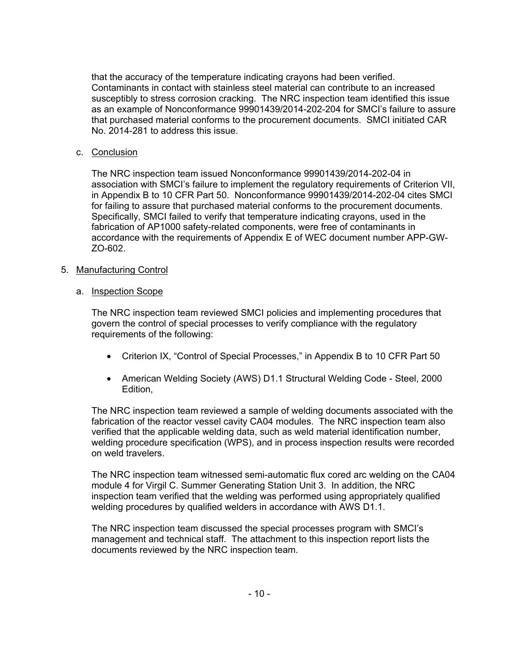that the accuracy of the temperature indicating crayons had been verified. Contaminants in contact with stainless steel material can contribute to an increased susceptibly to stress corrosion cracking. The NRC inspection team identified this issue as an example of Nonconformance 99901439/2014-202-204 for SMCI's failure to assure that purchased material conforms to the procurement documents. SMCI initiated CAR No. 2014-281 to address this issue.

## c. Conclusion

The NRC inspection team issued Nonconformance 99901439/2014-202-04 in association with SMCI's failure to implement the regulatory requirements of Criterion VII, in Appendix B to 10 CFR Part 50. Nonconformance 99901439/2014-202-04 cites SMCI for failing to assure that purchased material conforms to the procurement documents. Specifically, SMCI failed to verify that temperature indicating crayons, used in the fabrication of AP1000 safety-related components, were free of contaminants in accordance with the requirements of Appendix E of WEC document number APP-GW-ZO-602.

### 5. Manufacturing Control

#### a. Inspection Scope

The NRC inspection team reviewed SMCI policies and implementing procedures that govern the control of special processes to verify compliance with the regulatory requirements of the following:

- Criterion IX, "Control of Special Processes," in Appendix B to 10 CFR Part 50
- American Welding Society (AWS) D1.1 Structural Welding Code Steel, 2000 Edition,

The NRC inspection team reviewed a sample of welding documents associated with the fabrication of the reactor vessel cavity CA04 modules. The NRC inspection team also verified that the applicable welding data, such as weld material identification number, welding procedure specification (WPS), and in process inspection results were recorded on weld travelers.

The NRC inspection team witnessed semi-automatic flux cored arc welding on the CA04 module 4 for Virgil C. Summer Generating Station Unit 3. In addition, the NRC inspection team verified that the welding was performed using appropriately qualified welding procedures by qualified welders in accordance with AWS D1.1.

The NRC inspection team discussed the special processes program with SMCI's management and technical staff. The attachment to this inspection report lists the documents reviewed by the NRC inspection team.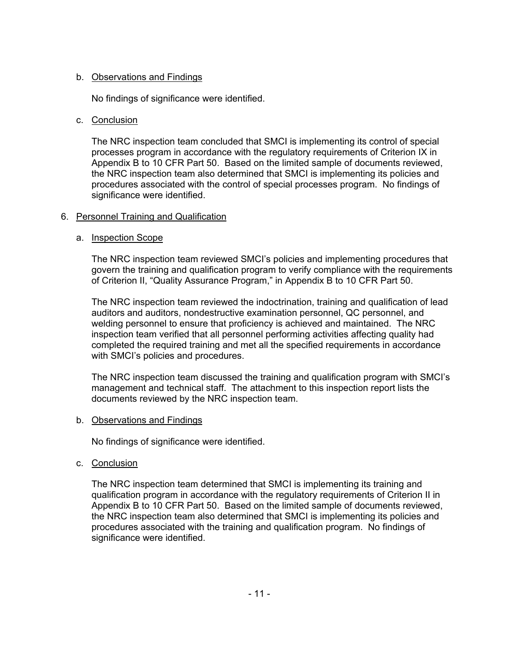## b. Observations and Findings

No findings of significance were identified.

#### c. Conclusion

The NRC inspection team concluded that SMCI is implementing its control of special processes program in accordance with the regulatory requirements of Criterion IX in Appendix B to 10 CFR Part 50. Based on the limited sample of documents reviewed, the NRC inspection team also determined that SMCI is implementing its policies and procedures associated with the control of special processes program. No findings of significance were identified.

### 6. Personnel Training and Qualification

### a. Inspection Scope

The NRC inspection team reviewed SMCI's policies and implementing procedures that govern the training and qualification program to verify compliance with the requirements of Criterion II, "Quality Assurance Program," in Appendix B to 10 CFR Part 50.

The NRC inspection team reviewed the indoctrination, training and qualification of lead auditors and auditors, nondestructive examination personnel, QC personnel, and welding personnel to ensure that proficiency is achieved and maintained. The NRC inspection team verified that all personnel performing activities affecting quality had completed the required training and met all the specified requirements in accordance with SMCI's policies and procedures.

The NRC inspection team discussed the training and qualification program with SMCI's management and technical staff. The attachment to this inspection report lists the documents reviewed by the NRC inspection team.

#### b. Observations and Findings

No findings of significance were identified.

c. Conclusion

The NRC inspection team determined that SMCI is implementing its training and qualification program in accordance with the regulatory requirements of Criterion II in Appendix B to 10 CFR Part 50. Based on the limited sample of documents reviewed, the NRC inspection team also determined that SMCI is implementing its policies and procedures associated with the training and qualification program. No findings of significance were identified.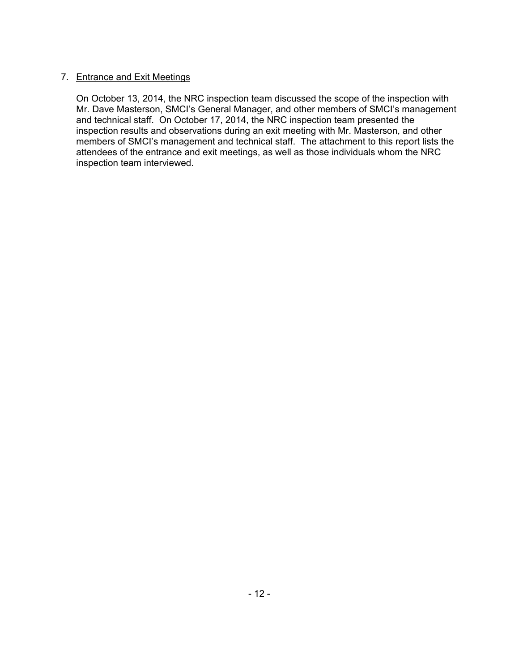## 7. Entrance and Exit Meetings

On October 13, 2014, the NRC inspection team discussed the scope of the inspection with Mr. Dave Masterson, SMCI's General Manager, and other members of SMCI's management and technical staff. On October 17, 2014, the NRC inspection team presented the inspection results and observations during an exit meeting with Mr. Masterson, and other members of SMCI's management and technical staff. The attachment to this report lists the attendees of the entrance and exit meetings, as well as those individuals whom the NRC inspection team interviewed.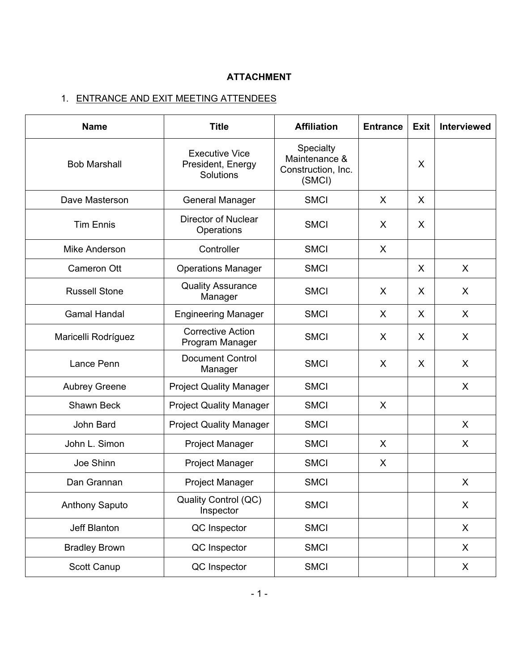# **ATTACHMENT**

# 1. ENTRANCE AND EXIT MEETING ATTENDEES

| <b>Name</b>           | <b>Title</b>                                            | <b>Affiliation</b>                                         | <b>Entrance</b> | Exit | Interviewed |
|-----------------------|---------------------------------------------------------|------------------------------------------------------------|-----------------|------|-------------|
| <b>Bob Marshall</b>   | <b>Executive Vice</b><br>President, Energy<br>Solutions | Specialty<br>Maintenance &<br>Construction, Inc.<br>(SMCI) |                 |      |             |
| Dave Masterson        | <b>General Manager</b>                                  | <b>SMCI</b>                                                | $\sf X$         | X    |             |
| <b>Tim Ennis</b>      | <b>Director of Nuclear</b><br>Operations                | <b>SMCI</b><br>X                                           |                 | X    |             |
| Mike Anderson         | Controller                                              | <b>SMCI</b>                                                | X               |      |             |
| Cameron Ott           | <b>Operations Manager</b>                               | <b>SMCI</b>                                                |                 | X    | X           |
| <b>Russell Stone</b>  | <b>Quality Assurance</b><br>Manager                     | $\sf X$<br><b>SMCI</b>                                     |                 | X    | X           |
| <b>Gamal Handal</b>   | <b>Engineering Manager</b>                              | <b>SMCI</b>                                                | X               |      | X           |
| Maricelli Rodríguez   | <b>Corrective Action</b><br>Program Manager             | <b>SMCI</b><br>$\sf X$                                     |                 | X    | X           |
| Lance Penn            | <b>Document Control</b><br>Manager                      | <b>SMCI</b>                                                | X               | X    | X           |
| <b>Aubrey Greene</b>  | <b>Project Quality Manager</b>                          | <b>SMCI</b>                                                |                 |      | X           |
| Shawn Beck            | <b>Project Quality Manager</b>                          | <b>SMCI</b><br>X                                           |                 |      |             |
| John Bard             | <b>Project Quality Manager</b>                          | <b>SMCI</b>                                                |                 |      | X           |
| John L. Simon         | <b>Project Manager</b>                                  | <b>SMCI</b>                                                | X               |      | X           |
| Joe Shinn             | <b>Project Manager</b>                                  | <b>SMCI</b>                                                | X               |      |             |
| Dan Grannan           | <b>Project Manager</b>                                  | <b>SMCI</b>                                                |                 |      | X           |
| <b>Anthony Saputo</b> | Quality Control (QC)<br>Inspector                       | <b>SMCI</b>                                                |                 |      | X           |
| Jeff Blanton          | QC Inspector                                            | <b>SMCI</b>                                                |                 |      | X           |
| <b>Bradley Brown</b>  | QC Inspector                                            | <b>SMCI</b>                                                |                 |      | X           |
| Scott Canup           | QC Inspector                                            | <b>SMCI</b>                                                |                 |      | X           |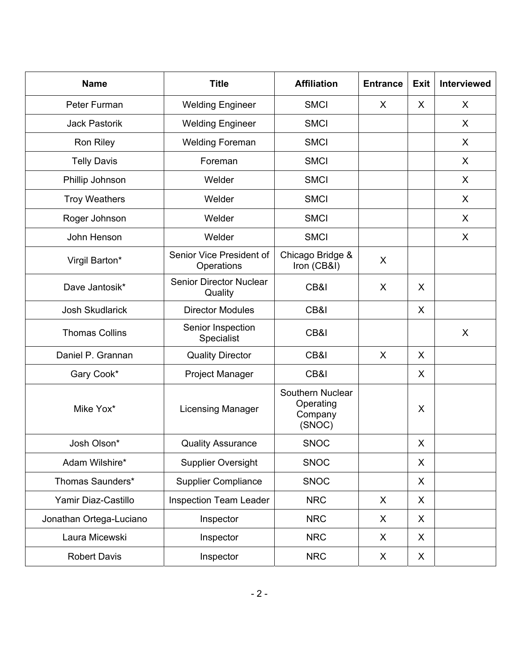| <b>Name</b>             | <b>Title</b><br><b>Affiliation</b>        |                                                    | <b>Entrance</b> | <b>Exit</b> | <b>Interviewed</b> |
|-------------------------|-------------------------------------------|----------------------------------------------------|-----------------|-------------|--------------------|
| Peter Furman            | <b>Welding Engineer</b>                   | <b>SMCI</b><br>X                                   |                 | X           | X                  |
| <b>Jack Pastorik</b>    | <b>Welding Engineer</b>                   | <b>SMCI</b>                                        |                 |             | X                  |
| Ron Riley               | <b>Welding Foreman</b>                    | <b>SMCI</b>                                        |                 |             | X                  |
| <b>Telly Davis</b>      | Foreman                                   | <b>SMCI</b>                                        |                 |             | X                  |
| Phillip Johnson         | Welder                                    | <b>SMCI</b>                                        |                 |             | X                  |
| <b>Troy Weathers</b>    | Welder                                    | <b>SMCI</b>                                        |                 |             | X                  |
| Roger Johnson           | Welder                                    | <b>SMCI</b>                                        |                 |             | X                  |
| John Henson             | Welder                                    | <b>SMCI</b>                                        |                 |             | X                  |
| Virgil Barton*          | Senior Vice President of<br>Operations    | Chicago Bridge &<br>Iron (CB&I)                    | X               |             |                    |
| Dave Jantosik*          | <b>Senior Director Nuclear</b><br>Quality | CB&I<br>X                                          |                 | $\sf X$     |                    |
| <b>Josh Skudlarick</b>  | <b>Director Modules</b>                   | CB&I                                               |                 |             |                    |
| <b>Thomas Collins</b>   | Senior Inspection<br>Specialist           | CB&I                                               |                 |             | X                  |
| Daniel P. Grannan       | <b>Quality Director</b>                   | CB&I<br>X                                          |                 | X           |                    |
| Gary Cook*              | Project Manager                           | CB&I                                               |                 | X           |                    |
| Mike Yox*               | <b>Licensing Manager</b>                  | Southern Nuclear<br>Operating<br>Company<br>(SNOC) |                 | X           |                    |
| Josh Olson*             | <b>Quality Assurance</b>                  | <b>SNOC</b>                                        |                 | X           |                    |
| Adam Wilshire*          | <b>Supplier Oversight</b>                 | <b>SNOC</b>                                        |                 | X           |                    |
| Thomas Saunders*        | <b>Supplier Compliance</b>                |                                                    |                 | X           |                    |
| Yamir Diaz-Castillo     | <b>Inspection Team Leader</b>             | <b>NRC</b>                                         | X               | X           |                    |
| Jonathan Ortega-Luciano | Inspector                                 | <b>NRC</b>                                         | X               | X           |                    |
| Laura Micewski          | Inspector                                 | <b>NRC</b>                                         | X               | X           |                    |
| <b>Robert Davis</b>     | Inspector                                 | <b>NRC</b>                                         | X               | X           |                    |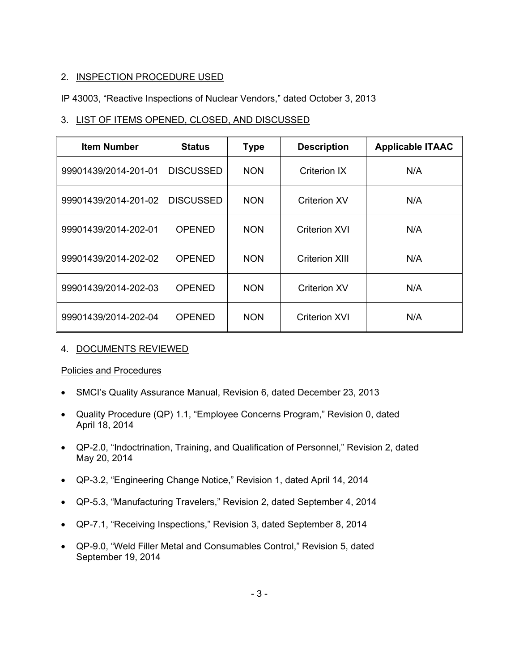## 2. INSPECTION PROCEDURE USED

## IP 43003, "Reactive Inspections of Nuclear Vendors," dated October 3, 2013

## 3. LIST OF ITEMS OPENED, CLOSED, AND DISCUSSED

| <b>Item Number</b>   | <b>Status</b>    | <b>Type</b> | <b>Description</b>  | <b>Applicable ITAAC</b> |
|----------------------|------------------|-------------|---------------------|-------------------------|
| 99901439/2014-201-01 | <b>DISCUSSED</b> | <b>NON</b>  | Criterion IX        | N/A                     |
| 99901439/2014-201-02 | <b>DISCUSSED</b> | <b>NON</b>  | <b>Criterion XV</b> | N/A                     |
| 99901439/2014-202-01 | OPENED           | <b>NON</b>  | Criterion XVI       | N/A                     |
| 99901439/2014-202-02 | <b>OPENED</b>    | <b>NON</b>  | Criterion XIII      | N/A                     |
| 99901439/2014-202-03 | <b>OPENED</b>    | <b>NON</b>  | <b>Criterion XV</b> | N/A                     |
| 99901439/2014-202-04 | <b>OPENED</b>    | <b>NON</b>  | Criterion XVI       | N/A                     |

## 4. DOCUMENTS REVIEWED

## Policies and Procedures

- SMCI's Quality Assurance Manual, Revision 6, dated December 23, 2013
- Quality Procedure (QP) 1.1, "Employee Concerns Program," Revision 0, dated April 18, 2014
- QP-2.0, "Indoctrination, Training, and Qualification of Personnel," Revision 2, dated May 20, 2014
- QP-3.2, "Engineering Change Notice," Revision 1, dated April 14, 2014
- QP-5.3, "Manufacturing Travelers," Revision 2, dated September 4, 2014
- QP-7.1, "Receiving Inspections," Revision 3, dated September 8, 2014
- QP-9.0, "Weld Filler Metal and Consumables Control," Revision 5, dated September 19, 2014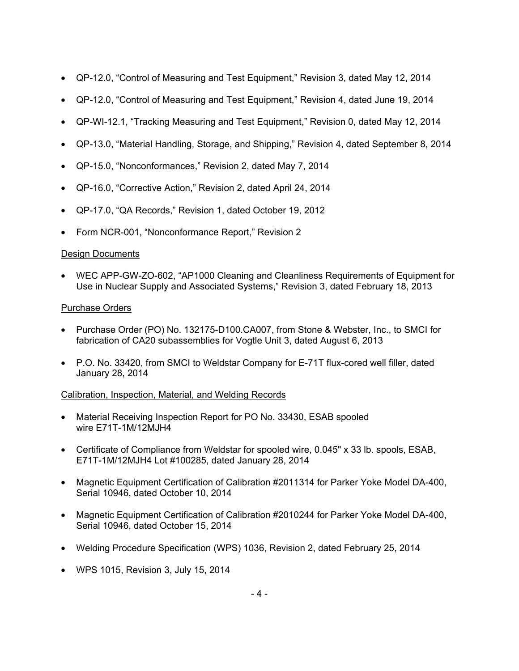- QP-12.0, "Control of Measuring and Test Equipment," Revision 3, dated May 12, 2014
- QP-12.0, "Control of Measuring and Test Equipment," Revision 4, dated June 19, 2014
- QP-WI-12.1, "Tracking Measuring and Test Equipment," Revision 0, dated May 12, 2014
- QP-13.0, "Material Handling, Storage, and Shipping," Revision 4, dated September 8, 2014
- QP-15.0, "Nonconformances," Revision 2, dated May 7, 2014
- QP-16.0, "Corrective Action," Revision 2, dated April 24, 2014
- QP-17.0, "QA Records," Revision 1, dated October 19, 2012
- Form NCR-001, "Nonconformance Report," Revision 2

## Design Documents

• WEC APP-GW-ZO-602, "AP1000 Cleaning and Cleanliness Requirements of Equipment for Use in Nuclear Supply and Associated Systems," Revision 3, dated February 18, 2013

## Purchase Orders

- Purchase Order (PO) No. 132175-D100.CA007, from Stone & Webster, Inc., to SMCI for fabrication of CA20 subassemblies for Vogtle Unit 3, dated August 6, 2013
- P.O. No. 33420, from SMCI to Weldstar Company for E-71T flux-cored well filler, dated January 28, 2014

## Calibration, Inspection, Material, and Welding Records

- Material Receiving Inspection Report for PO No. 33430, ESAB spooled wire E71T-1M/12MJH4
- Certificate of Compliance from Weldstar for spooled wire, 0.045" x 33 lb. spools, ESAB, E71T-1M/12MJH4 Lot #100285, dated January 28, 2014
- Magnetic Equipment Certification of Calibration #2011314 for Parker Yoke Model DA-400, Serial 10946, dated October 10, 2014
- Magnetic Equipment Certification of Calibration #2010244 for Parker Yoke Model DA-400, Serial 10946, dated October 15, 2014
- Welding Procedure Specification (WPS) 1036, Revision 2, dated February 25, 2014
- WPS 1015, Revision 3, July 15, 2014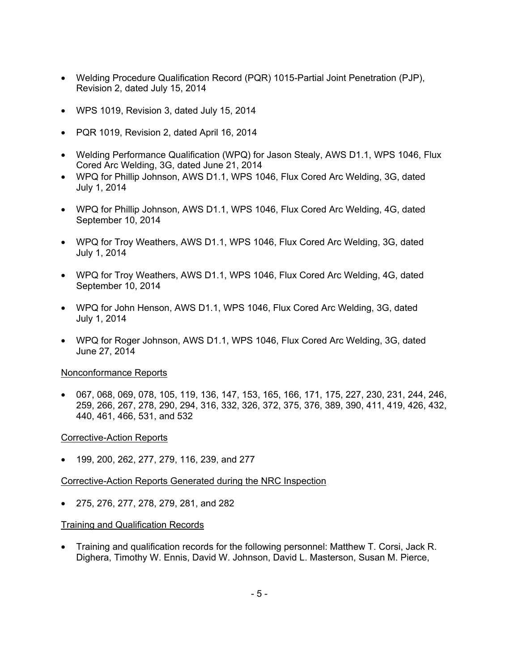- Welding Procedure Qualification Record (PQR) 1015-Partial Joint Penetration (PJP), Revision 2, dated July 15, 2014
- WPS 1019, Revision 3, dated July 15, 2014
- PQR 1019, Revision 2, dated April 16, 2014
- Welding Performance Qualification (WPQ) for Jason Stealy, AWS D1.1, WPS 1046, Flux Cored Arc Welding, 3G, dated June 21, 2014
- WPQ for Phillip Johnson, AWS D1.1, WPS 1046, Flux Cored Arc Welding, 3G, dated July 1, 2014
- WPQ for Phillip Johnson, AWS D1.1, WPS 1046, Flux Cored Arc Welding, 4G, dated September 10, 2014
- WPQ for Troy Weathers, AWS D1.1, WPS 1046, Flux Cored Arc Welding, 3G, dated July 1, 2014
- WPQ for Troy Weathers, AWS D1.1, WPS 1046, Flux Cored Arc Welding, 4G, dated September 10, 2014
- WPQ for John Henson, AWS D1.1, WPS 1046, Flux Cored Arc Welding, 3G, dated July 1, 2014
- WPQ for Roger Johnson, AWS D1.1, WPS 1046, Flux Cored Arc Welding, 3G, dated June 27, 2014

#### Nonconformance Reports

• 067, 068, 069, 078, 105, 119, 136, 147, 153, 165, 166, 171, 175, 227, 230, 231, 244, 246, 259, 266, 267, 278, 290, 294, 316, 332, 326, 372, 375, 376, 389, 390, 411, 419, 426, 432, 440, 461, 466, 531, and 532

#### Corrective-Action Reports

• 199, 200, 262, 277, 279, 116, 239, and 277

#### Corrective-Action Reports Generated during the NRC Inspection

• 275, 276, 277, 278, 279, 281, and 282

#### Training and Qualification Records

• Training and qualification records for the following personnel: Matthew T. Corsi, Jack R. Dighera, Timothy W. Ennis, David W. Johnson, David L. Masterson, Susan M. Pierce,